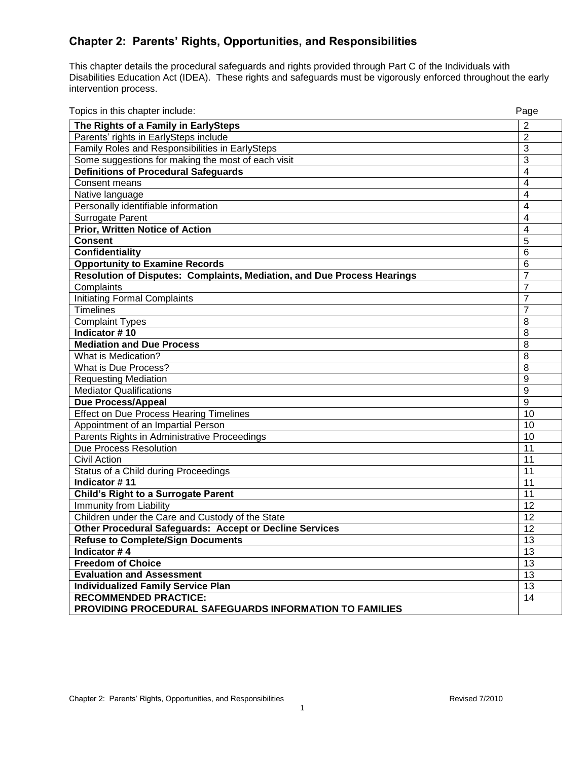# **Chapter 2: Parents' Rights, Opportunities, and Responsibilities**

This chapter details the procedural safeguards and rights provided through Part C of the Individuals with Disabilities Education Act (IDEA). These rights and safeguards must be vigorously enforced throughout the early intervention process.

Topics in this chapter include: Page

| ropics in this chapter include.                                         | rage           |  |  |  |  |
|-------------------------------------------------------------------------|----------------|--|--|--|--|
| The Rights of a Family in EarlySteps                                    | 2              |  |  |  |  |
| Parents' rights in EarlySteps include                                   | $\overline{2}$ |  |  |  |  |
| Family Roles and Responsibilities in EarlySteps                         |                |  |  |  |  |
| Some suggestions for making the most of each visit                      |                |  |  |  |  |
| <b>Definitions of Procedural Safeguards</b>                             |                |  |  |  |  |
| Consent means                                                           |                |  |  |  |  |
| Native language                                                         |                |  |  |  |  |
| Personally identifiable information                                     |                |  |  |  |  |
| <b>Surrogate Parent</b>                                                 |                |  |  |  |  |
| <b>Prior, Written Notice of Action</b>                                  |                |  |  |  |  |
| <b>Consent</b>                                                          |                |  |  |  |  |
| <b>Confidentiality</b>                                                  | 6              |  |  |  |  |
| <b>Opportunity to Examine Records</b>                                   |                |  |  |  |  |
| Resolution of Disputes: Complaints, Mediation, and Due Process Hearings |                |  |  |  |  |
| Complaints                                                              | $\overline{7}$ |  |  |  |  |
| <b>Initiating Formal Complaints</b>                                     | $\overline{7}$ |  |  |  |  |
| <b>Timelines</b>                                                        |                |  |  |  |  |
| <b>Complaint Types</b>                                                  |                |  |  |  |  |
| Indicator #10                                                           | 8              |  |  |  |  |
| <b>Mediation and Due Process</b>                                        | 8              |  |  |  |  |
| What is Medication?                                                     | 8              |  |  |  |  |
| What is Due Process?                                                    | 8              |  |  |  |  |
| <b>Requesting Mediation</b>                                             |                |  |  |  |  |
| <b>Mediator Qualifications</b>                                          |                |  |  |  |  |
| <b>Due Process/Appeal</b>                                               |                |  |  |  |  |
| <b>Effect on Due Process Hearing Timelines</b>                          |                |  |  |  |  |
| Appointment of an Impartial Person                                      |                |  |  |  |  |
| Parents Rights in Administrative Proceedings                            |                |  |  |  |  |
| Due Process Resolution                                                  |                |  |  |  |  |
| <b>Civil Action</b>                                                     |                |  |  |  |  |
| Status of a Child during Proceedings                                    |                |  |  |  |  |
| Indicator #11                                                           |                |  |  |  |  |
| <b>Child's Right to a Surrogate Parent</b>                              | 11             |  |  |  |  |
| <b>Immunity from Liability</b>                                          | 12             |  |  |  |  |
| Children under the Care and Custody of the State                        |                |  |  |  |  |
| Other Procedural Safeguards: Accept or Decline Services                 |                |  |  |  |  |
| <b>Refuse to Complete/Sign Documents</b>                                |                |  |  |  |  |
| Indicator #4                                                            |                |  |  |  |  |
| <b>Freedom of Choice</b>                                                |                |  |  |  |  |
| <b>Evaluation and Assessment</b>                                        |                |  |  |  |  |
| <b>Individualized Family Service Plan</b>                               |                |  |  |  |  |
| <b>RECOMMENDED PRACTICE:</b>                                            |                |  |  |  |  |
| PROVIDING PROCEDURAL SAFEGUARDS INFORMATION TO FAMILIES                 |                |  |  |  |  |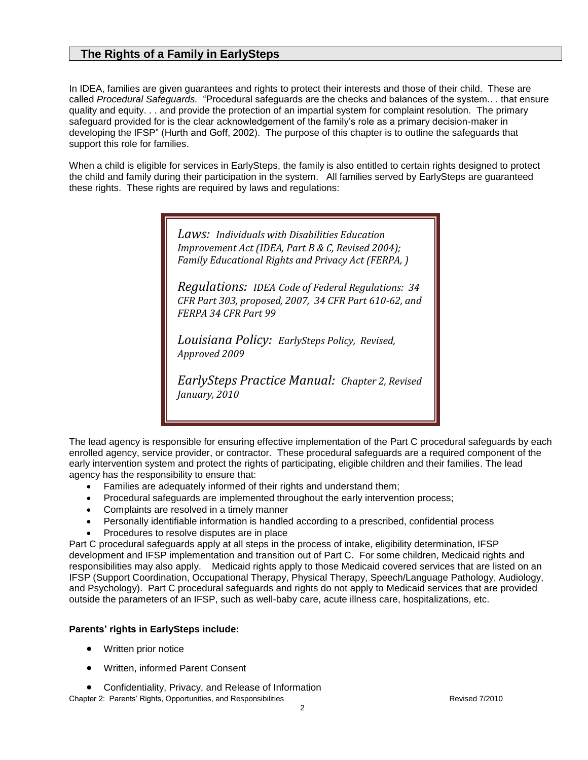# **The Rights of a Family in EarlySteps**

In IDEA, families are given guarantees and rights to protect their interests and those of their child. These are called *Procedural Safeguards.* "Procedural safeguards are the checks and balances of the system.. . that ensure quality and equity. . . and provide the protection of an impartial system for complaint resolution. The primary safeguard provided for is the clear acknowledgement of the family's role as a primary decision-maker in developing the IFSP" (Hurth and Goff, 2002). The purpose of this chapter is to outline the safeguards that support this role for families.

When a child is eligible for services in EarlySteps, the family is also entitled to certain rights designed to protect the child and family during their participation in the system. All families served by EarlySteps are guaranteed these rights. These rights are required by laws and regulations:

> *Laws: Individuals with Disabilities Education Improvement Act (IDEA, Part B & C, Revised 2004); Family Educational Rights and Privacy Act (FERPA, )*

*Regulations: IDEA Code of Federal Regulations: 34 CFR Part 303, proposed, 2007, 34 CFR Part 610-62, and FERPA 34 CFR Part 99*

*Louisiana Policy: EarlySteps Policy, Revised, Approved 2009*

*EarlySteps Practice Manual: Chapter 2, Revised January, 2010*

The lead agency is responsible for ensuring effective implementation of the Part C procedural safeguards by each enrolled agency, service provider, or contractor. These procedural safeguards are a required component of the early intervention system and protect the rights of participating, eligible children and their families. The lead agency has the responsibility to ensure that:

- Families are adequately informed of their rights and understand them;
- Procedural safeguards are implemented throughout the early intervention process;
- Complaints are resolved in a timely manner
- Personally identifiable information is handled according to a prescribed, confidential process
- Procedures to resolve disputes are in place

Part C procedural safeguards apply at all steps in the process of intake, eligibility determination, IFSP development and IFSP implementation and transition out of Part C. For some children, Medicaid rights and responsibilities may also apply. Medicaid rights apply to those Medicaid covered services that are listed on an IFSP (Support Coordination, Occupational Therapy, Physical Therapy, Speech/Language Pathology, Audiology, and Psychology). Part C procedural safeguards and rights do not apply to Medicaid services that are provided outside the parameters of an IFSP, such as well-baby care, acute illness care, hospitalizations, etc.

#### **Parents' rights in EarlySteps include:**

- Written prior notice
- Written, informed Parent Consent
- Confidentiality, Privacy, and Release of Information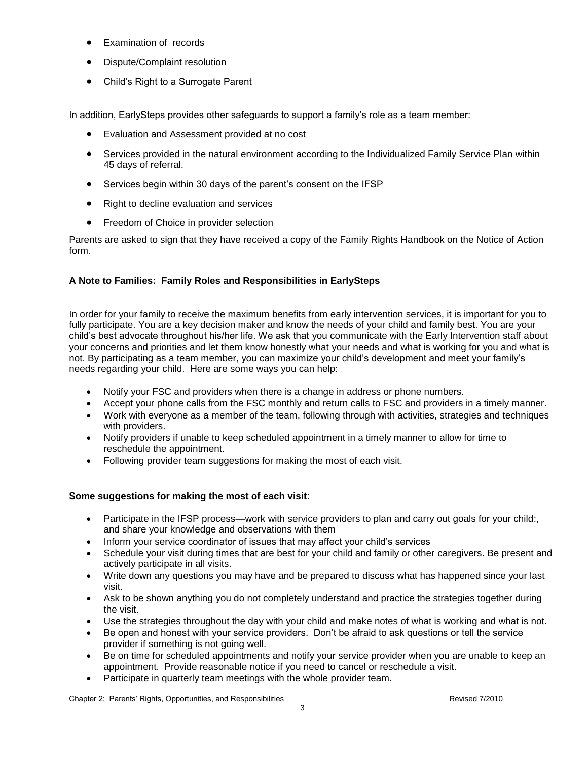- Examination of records
- Dispute/Complaint resolution
- Child's Right to a Surrogate Parent

In addition, EarlySteps provides other safeguards to support a family's role as a team member:

- Evaluation and Assessment provided at no cost
- Services provided in the natural environment according to the Individualized Family Service Plan within 45 days of referral.
- Services begin within 30 days of the parent's consent on the IFSP
- Right to decline evaluation and services
- **•** Freedom of Choice in provider selection

Parents are asked to sign that they have received a copy of the Family Rights Handbook on the Notice of Action form.

## **A Note to Families: Family Roles and Responsibilities in EarlySteps**

In order for your family to receive the maximum benefits from early intervention services, it is important for you to fully participate. You are a key decision maker and know the needs of your child and family best. You are your child's best advocate throughout his/her life. We ask that you communicate with the Early Intervention staff about your concerns and priorities and let them know honestly what your needs and what is working for you and what is not. By participating as a team member, you can maximize your child's development and meet your family's needs regarding your child. Here are some ways you can help:

- Notify your FSC and providers when there is a change in address or phone numbers.
- Accept your phone calls from the FSC monthly and return calls to FSC and providers in a timely manner.
- Work with everyone as a member of the team, following through with activities, strategies and techniques with providers.
- Notify providers if unable to keep scheduled appointment in a timely manner to allow for time to reschedule the appointment.
- Following provider team suggestions for making the most of each visit.

## **Some suggestions for making the most of each visit**:

- Participate in the IFSP process—work with service providers to plan and carry out goals for your child:, and share your knowledge and observations with them
- Inform your service coordinator of issues that may affect your child's services
- Schedule your visit during times that are best for your child and family or other caregivers. Be present and actively participate in all visits.
- Write down any questions you may have and be prepared to discuss what has happened since your last visit.
- Ask to be shown anything you do not completely understand and practice the strategies together during the visit.
- Use the strategies throughout the day with your child and make notes of what is working and what is not.
- Be open and honest with your service providers. Don't be afraid to ask questions or tell the service provider if something is not going well.
- Be on time for scheduled appointments and notify your service provider when you are unable to keep an appointment. Provide reasonable notice if you need to cancel or reschedule a visit.
- Participate in quarterly team meetings with the whole provider team.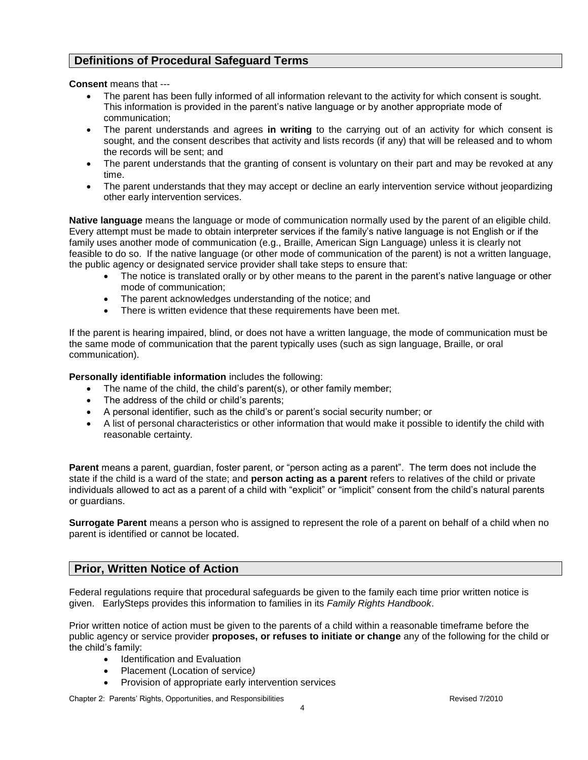# **Definitions of Procedural Safeguard Terms**

**Consent** means that ---

- The parent has been fully informed of all information relevant to the activity for which consent is sought. This information is provided in the parent's native language or by another appropriate mode of communication;
- The parent understands and agrees **in writing** to the carrying out of an activity for which consent is sought, and the consent describes that activity and lists records (if any) that will be released and to whom the records will be sent; and
- The parent understands that the granting of consent is voluntary on their part and may be revoked at any time.
- The parent understands that they may accept or decline an early intervention service without jeopardizing other early intervention services.

**Native language** means the language or mode of communication normally used by the parent of an eligible child. Every attempt must be made to obtain interpreter services if the family's native language is not English or if the family uses another mode of communication (e.g., Braille, American Sign Language) unless it is clearly not feasible to do so. If the native language (or other mode of communication of the parent) is not a written language, the public agency or designated service provider shall take steps to ensure that:

- The notice is translated orally or by other means to the parent in the parent's native language or other mode of communication;
- The parent acknowledges understanding of the notice; and
- There is written evidence that these requirements have been met.

If the parent is hearing impaired, blind, or does not have a written language, the mode of communication must be the same mode of communication that the parent typically uses (such as sign language, Braille, or oral communication).

**Personally identifiable information** includes the following:

- The name of the child, the child's parent(s), or other family member;
- The address of the child or child's parents;
- A personal identifier, such as the child's or parent's social security number; or
- A list of personal characteristics or other information that would make it possible to identify the child with reasonable certainty.

**Parent** means a parent, guardian, foster parent, or "person acting as a parent". The term does not include the state if the child is a ward of the state; and **person acting as a parent** refers to relatives of the child or private individuals allowed to act as a parent of a child with "explicit" or "implicit" consent from the child's natural parents or guardians.

**Surrogate Parent** means a person who is assigned to represent the role of a parent on behalf of a child when no parent is identified or cannot be located.

# **Prior, Written Notice of Action**

Federal regulations require that procedural safeguards be given to the family each time prior written notice is given. EarlySteps provides this information to families in its *Family Rights Handbook*.

Prior written notice of action must be given to the parents of a child within a reasonable timeframe before the public agency or service provider **proposes, or refuses to initiate or change** any of the following for the child or the child's family:

- Identification and Evaluation
- Placement (Location of service*)*
- Provision of appropriate early intervention services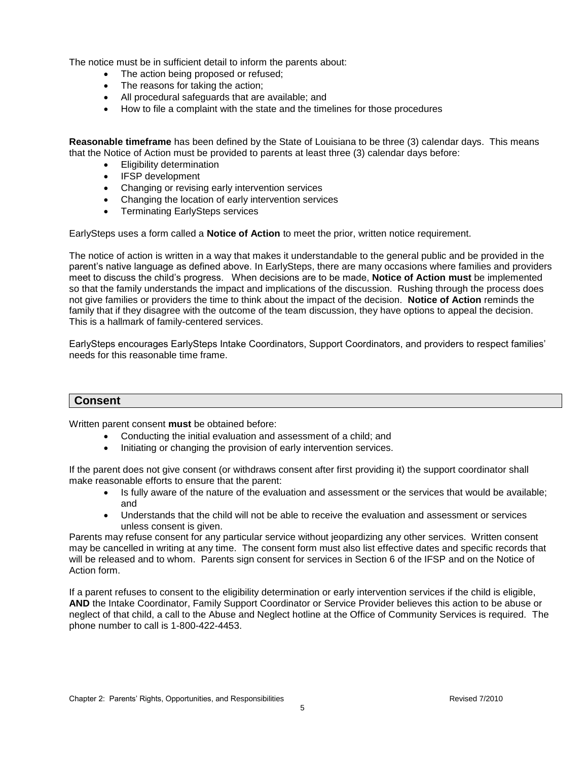The notice must be in sufficient detail to inform the parents about:

- The action being proposed or refused;
- The reasons for taking the action;
- All procedural safeguards that are available; and
- How to file a complaint with the state and the timelines for those procedures

**Reasonable timeframe** has been defined by the State of Louisiana to be three (3) calendar days. This means that the Notice of Action must be provided to parents at least three (3) calendar days before:

- Eligibility determination
- IFSP development
- Changing or revising early intervention services
- Changing the location of early intervention services
- **•** Terminating EarlySteps services

EarlySteps uses a form called a **Notice of Action** to meet the prior, written notice requirement.

The notice of action is written in a way that makes it understandable to the general public and be provided in the parent's native language as defined above. In EarlySteps, there are many occasions where families and providers meet to discuss the child's progress. When decisions are to be made, **Notice of Action must** be implemented so that the family understands the impact and implications of the discussion. Rushing through the process does not give families or providers the time to think about the impact of the decision. **Notice of Action** reminds the family that if they disagree with the outcome of the team discussion, they have options to appeal the decision. This is a hallmark of family-centered services.

EarlySteps encourages EarlySteps Intake Coordinators, Support Coordinators, and providers to respect families' needs for this reasonable time frame.

## **Consent**

Written parent consent **must** be obtained before:

- Conducting the initial evaluation and assessment of a child; and
- Initiating or changing the provision of early intervention services.

If the parent does not give consent (or withdraws consent after first providing it) the support coordinator shall make reasonable efforts to ensure that the parent:

- Is fully aware of the nature of the evaluation and assessment or the services that would be available; and
- Understands that the child will not be able to receive the evaluation and assessment or services unless consent is given.

Parents may refuse consent for any particular service without jeopardizing any other services. Written consent may be cancelled in writing at any time. The consent form must also list effective dates and specific records that will be released and to whom. Parents sign consent for services in Section 6 of the IFSP and on the Notice of Action form.

If a parent refuses to consent to the eligibility determination or early intervention services if the child is eligible, **AND** the Intake Coordinator, Family Support Coordinator or Service Provider believes this action to be abuse or neglect of that child, a call to the Abuse and Neglect hotline at the Office of Community Services is required. The phone number to call is 1-800-422-4453.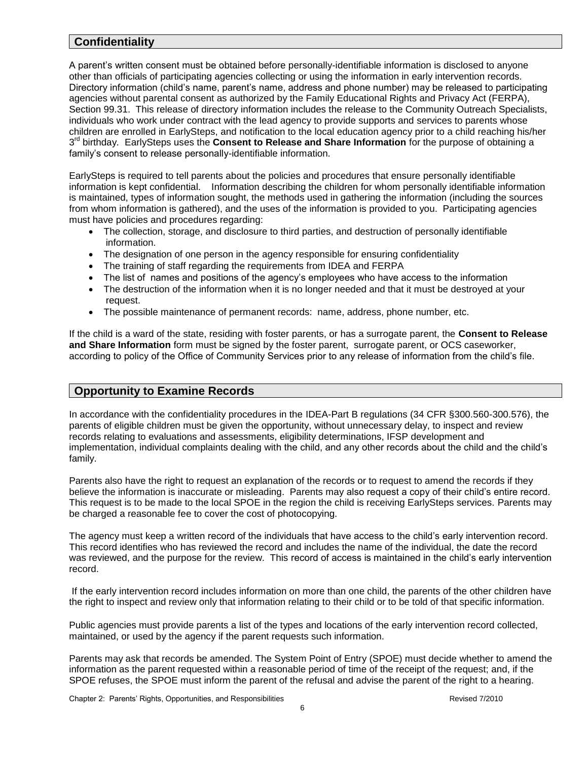# **Confidentiality**

A parent's written consent must be obtained before personally-identifiable information is disclosed to anyone other than officials of participating agencies collecting or using the information in early intervention records. Directory information (child's name, parent's name, address and phone number) may be released to participating agencies without parental consent as authorized by the Family Educational Rights and Privacy Act (FERPA), Section 99.31. This release of directory information includes the release to the Community Outreach Specialists, individuals who work under contract with the lead agency to provide supports and services to parents whose children are enrolled in EarlySteps, and notification to the local education agency prior to a child reaching his/her 3<sup>rd</sup> birthday. EarlySteps uses the **Consent to Release and Share Information** for the purpose of obtaining a family's consent to release personally-identifiable information.

EarlySteps is required to tell parents about the policies and procedures that ensure personally identifiable information is kept confidential. Information describing the children for whom personally identifiable information is maintained, types of information sought, the methods used in gathering the information (including the sources from whom information is gathered), and the uses of the information is provided to you. Participating agencies must have policies and procedures regarding:

- The collection, storage, and disclosure to third parties, and destruction of personally identifiable information.
- The designation of one person in the agency responsible for ensuring confidentiality
- The training of staff regarding the requirements from IDEA and FERPA
- The list of names and positions of the agency's employees who have access to the information
- The destruction of the information when it is no longer needed and that it must be destroyed at your request.
- The possible maintenance of permanent records: name, address, phone number, etc.

If the child is a ward of the state, residing with foster parents, or has a surrogate parent, the **Consent to Release and Share Information** form must be signed by the foster parent, surrogate parent, or OCS caseworker, according to policy of the Office of Community Services prior to any release of information from the child's file.

# **Opportunity to Examine Records**

In accordance with the confidentiality procedures in the IDEA-Part B regulations (34 CFR §300.560-300.576), the parents of eligible children must be given the opportunity, without unnecessary delay, to inspect and review records relating to evaluations and assessments, eligibility determinations, IFSP development and implementation, individual complaints dealing with the child, and any other records about the child and the child's family.

Parents also have the right to request an explanation of the records or to request to amend the records if they believe the information is inaccurate or misleading. Parents may also request a copy of their child's entire record. This request is to be made to the local SPOE in the region the child is receiving EarlySteps services. Parents may be charged a reasonable fee to cover the cost of photocopying.

The agency must keep a written record of the individuals that have access to the child's early intervention record. This record identifies who has reviewed the record and includes the name of the individual, the date the record was reviewed, and the purpose for the review. This record of access is maintained in the child's early intervention record.

If the early intervention record includes information on more than one child, the parents of the other children have the right to inspect and review only that information relating to their child or to be told of that specific information.

Public agencies must provide parents a list of the types and locations of the early intervention record collected, maintained, or used by the agency if the parent requests such information.

Parents may ask that records be amended. The System Point of Entry (SPOE) must decide whether to amend the information as the parent requested within a reasonable period of time of the receipt of the request; and, if the SPOE refuses, the SPOE must inform the parent of the refusal and advise the parent of the right to a hearing.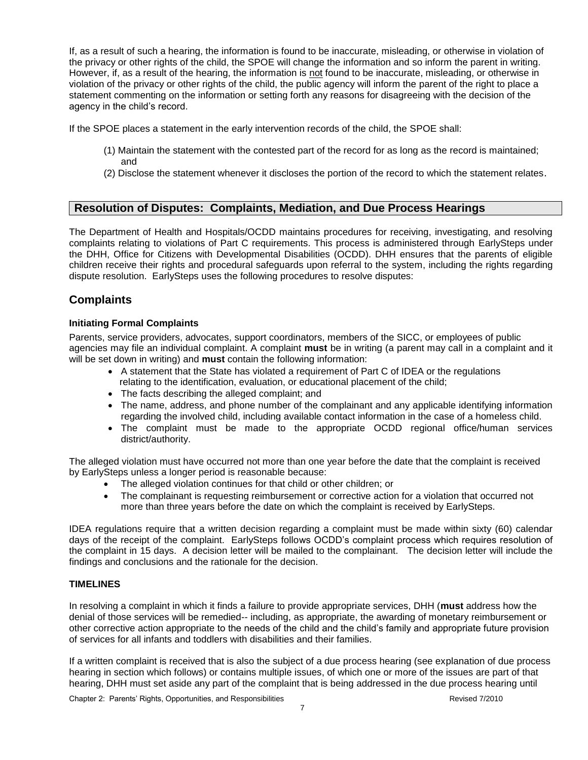If, as a result of such a hearing, the information is found to be inaccurate, misleading, or otherwise in violation of the privacy or other rights of the child, the SPOE will change the information and so inform the parent in writing. However, if, as a result of the hearing, the information is not found to be inaccurate, misleading, or otherwise in violation of the privacy or other rights of the child, the public agency will inform the parent of the right to place a statement commenting on the information or setting forth any reasons for disagreeing with the decision of the agency in the child's record.

If the SPOE places a statement in the early intervention records of the child, the SPOE shall:

- (1) Maintain the statement with the contested part of the record for as long as the record is maintained; and
- (2) Disclose the statement whenever it discloses the portion of the record to which the statement relates.

# **Resolution of Disputes: Complaints, Mediation, and Due Process Hearings**

The Department of Health and Hospitals/OCDD maintains procedures for receiving, investigating, and resolving complaints relating to violations of Part C requirements. This process is administered through EarlySteps under the DHH, Office for Citizens with Developmental Disabilities (OCDD). DHH ensures that the parents of eligible children receive their rights and procedural safeguards upon referral to the system, including the rights regarding dispute resolution. EarlySteps uses the following procedures to resolve disputes:

# **Complaints**

### **Initiating Formal Complaints**

Parents, service providers, advocates, support coordinators, members of the SICC, or employees of public agencies may file an individual complaint. A complaint **must** be in writing (a parent may call in a complaint and it will be set down in writing) and **must** contain the following information:

- A statement that the State has violated a requirement of Part C of IDEA or the regulations relating to the identification, evaluation, or educational placement of the child;
- The facts describing the alleged complaint; and
- The name, address, and phone number of the complainant and any applicable identifying information regarding the involved child, including available contact information in the case of a homeless child.
- The complaint must be made to the appropriate OCDD regional office/human services district/authority.

The alleged violation must have occurred not more than one year before the date that the complaint is received by EarlySteps unless a longer period is reasonable because:

- The alleged violation continues for that child or other children; or
- The complainant is requesting reimbursement or corrective action for a violation that occurred not more than three years before the date on which the complaint is received by EarlySteps.

IDEA regulations require that a written decision regarding a complaint must be made within sixty (60) calendar days of the receipt of the complaint. EarlySteps follows OCDD's complaint process which requires resolution of the complaint in 15 days. A decision letter will be mailed to the complainant. The decision letter will include the findings and conclusions and the rationale for the decision.

#### **TIMELINES**

In resolving a complaint in which it finds a failure to provide appropriate services, DHH (**must** address how the denial of those services will be remedied-- including, as appropriate, the awarding of monetary reimbursement or other corrective action appropriate to the needs of the child and the child's family and appropriate future provision of services for all infants and toddlers with disabilities and their families.

If a written complaint is received that is also the subject of a due process hearing (see explanation of due process hearing in section which follows) or contains multiple issues, of which one or more of the issues are part of that hearing, DHH must set aside any part of the complaint that is being addressed in the due process hearing until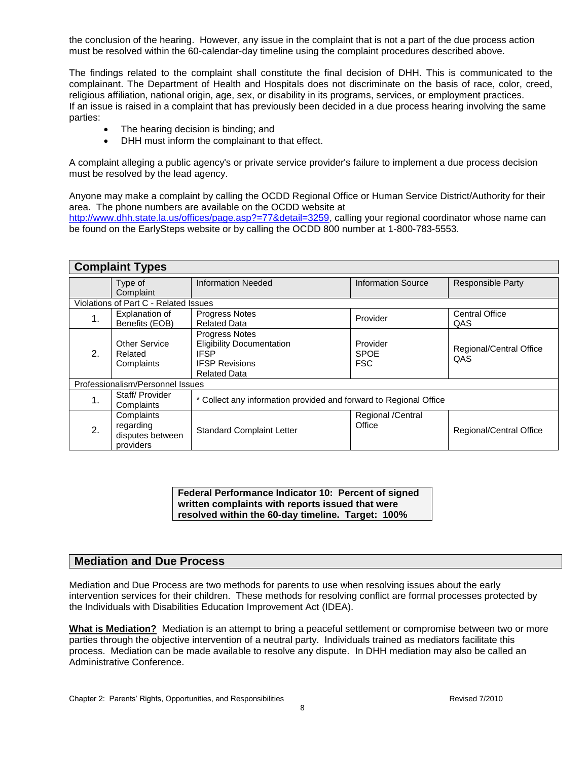the conclusion of the hearing. However, any issue in the complaint that is not a part of the due process action must be resolved within the 60-calendar-day timeline using the complaint procedures described above.

The findings related to the complaint shall constitute the final decision of DHH. This is communicated to the complainant. The Department of Health and Hospitals does not discriminate on the basis of race, color, creed, religious affiliation, national origin, age, sex, or disability in its programs, services, or employment practices. If an issue is raised in a complaint that has previously been decided in a due process hearing involving the same parties:

- The hearing decision is binding; and
- DHH must inform the complainant to that effect.

A complaint alleging a public agency's or private service provider's failure to implement a due process decision must be resolved by the lead agency.

Anyone may make a complaint by calling the OCDD Regional Office or Human Service District/Authority for their area. The phone numbers are available on the OCDD website at

[http://www.dhh.state.la.us/offices/page.asp?=77&detail=3259,](http://www.dhh.state.la.us/offices/page.asp?=77&detail=3259) calling your regional coordinator whose name can be found on the EarlySteps website or by calling the OCDD 800 number at 1-800-783-5553.

| <b>Complaint Types</b>                |                                                          |                                                                                                                          |                                       |                                |  |
|---------------------------------------|----------------------------------------------------------|--------------------------------------------------------------------------------------------------------------------------|---------------------------------------|--------------------------------|--|
|                                       | Type of<br>Complaint                                     | <b>Information Needed</b>                                                                                                | <b>Information Source</b>             | <b>Responsible Party</b>       |  |
| Violations of Part C - Related Issues |                                                          |                                                                                                                          |                                       |                                |  |
| 1.                                    | Explanation of<br>Benefits (EOB)                         | <b>Progress Notes</b><br><b>Related Data</b>                                                                             | Provider                              | <b>Central Office</b><br>QAS   |  |
| 2.                                    | <b>Other Service</b><br>Related<br>Complaints            | <b>Progress Notes</b><br><b>Eligibility Documentation</b><br><b>IFSP</b><br><b>IFSP Revisions</b><br><b>Related Data</b> | Provider<br><b>SPOE</b><br><b>FSC</b> | Regional/Central Office<br>QAS |  |
| Professionalism/Personnel Issues      |                                                          |                                                                                                                          |                                       |                                |  |
| 1.                                    | Staff/Provider<br>Complaints                             | * Collect any information provided and forward to Regional Office                                                        |                                       |                                |  |
| 2.                                    | Complaints<br>regarding<br>disputes between<br>providers | <b>Standard Complaint Letter</b>                                                                                         | Regional /Central<br>Office           | <b>Regional/Central Office</b> |  |

**Federal Performance Indicator 10: Percent of signed written complaints with reports issued that were resolved within the 60-day timeline. Target: 100%**

## **Mediation and Due Process**

Mediation and Due Process are two methods for parents to use when resolving issues about the early intervention services for their children. These methods for resolving conflict are formal processes protected by the Individuals with Disabilities Education Improvement Act (IDEA).

**What is Mediation?** Mediation is an attempt to bring a peaceful settlement or compromise between two or more parties through the objective intervention of a neutral party. Individuals trained as mediators facilitate this process. Mediation can be made available to resolve any dispute. In DHH mediation may also be called an Administrative Conference.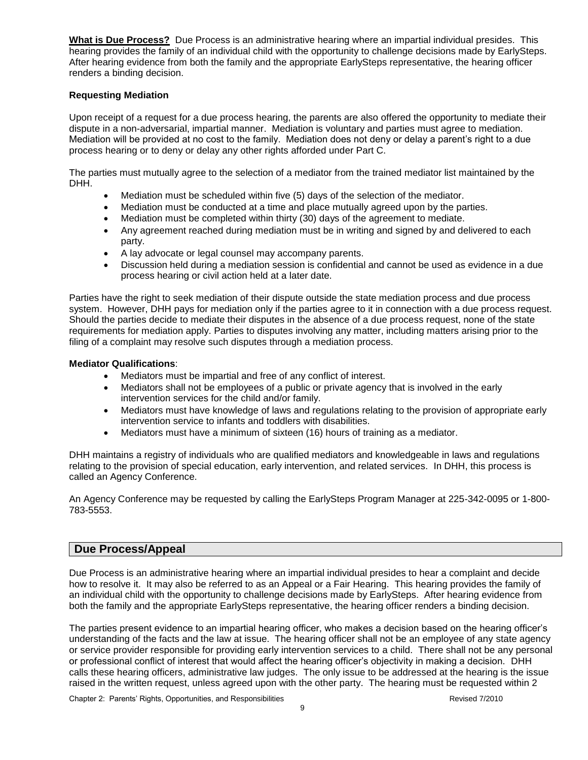**What is Due Process?** Due Process is an administrative hearing where an impartial individual presides. This hearing provides the family of an individual child with the opportunity to challenge decisions made by EarlySteps. After hearing evidence from both the family and the appropriate EarlySteps representative, the hearing officer renders a binding decision.

### **Requesting Mediation**

Upon receipt of a request for a due process hearing, the parents are also offered the opportunity to mediate their dispute in a non-adversarial, impartial manner. Mediation is voluntary and parties must agree to mediation. Mediation will be provided at no cost to the family. Mediation does not deny or delay a parent's right to a due process hearing or to deny or delay any other rights afforded under Part C.

The parties must mutually agree to the selection of a mediator from the trained mediator list maintained by the DHH.

- Mediation must be scheduled within five (5) days of the selection of the mediator.
- Mediation must be conducted at a time and place mutually agreed upon by the parties.
- Mediation must be completed within thirty (30) days of the agreement to mediate.
- Any agreement reached during mediation must be in writing and signed by and delivered to each party.
- A lay advocate or legal counsel may accompany parents.
- Discussion held during a mediation session is confidential and cannot be used as evidence in a due process hearing or civil action held at a later date.

Parties have the right to seek mediation of their dispute outside the state mediation process and due process system. However, DHH pays for mediation only if the parties agree to it in connection with a due process request. Should the parties decide to mediate their disputes in the absence of a due process request, none of the state requirements for mediation apply. Parties to disputes involving any matter, including matters arising prior to the filing of a complaint may resolve such disputes through a mediation process.

#### **Mediator Qualifications**:

- Mediators must be impartial and free of any conflict of interest.
- Mediators shall not be employees of a public or private agency that is involved in the early intervention services for the child and/or family.
- Mediators must have knowledge of laws and regulations relating to the provision of appropriate early intervention service to infants and toddlers with disabilities.
- Mediators must have a minimum of sixteen (16) hours of training as a mediator.

DHH maintains a registry of individuals who are qualified mediators and knowledgeable in laws and regulations relating to the provision of special education, early intervention, and related services. In DHH, this process is called an Agency Conference.

An Agency Conference may be requested by calling the EarlySteps Program Manager at 225-342-0095 or 1-800- 783-5553.

## **Due Process/Appeal**

Due Process is an administrative hearing where an impartial individual presides to hear a complaint and decide how to resolve it. It may also be referred to as an Appeal or a Fair Hearing. This hearing provides the family of an individual child with the opportunity to challenge decisions made by EarlySteps. After hearing evidence from both the family and the appropriate EarlySteps representative, the hearing officer renders a binding decision.

The parties present evidence to an impartial hearing officer, who makes a decision based on the hearing officer's understanding of the facts and the law at issue. The hearing officer shall not be an employee of any state agency or service provider responsible for providing early intervention services to a child. There shall not be any personal or professional conflict of interest that would affect the hearing officer's objectivity in making a decision. DHH calls these hearing officers, administrative law judges. The only issue to be addressed at the hearing is the issue raised in the written request, unless agreed upon with the other party. The hearing must be requested within 2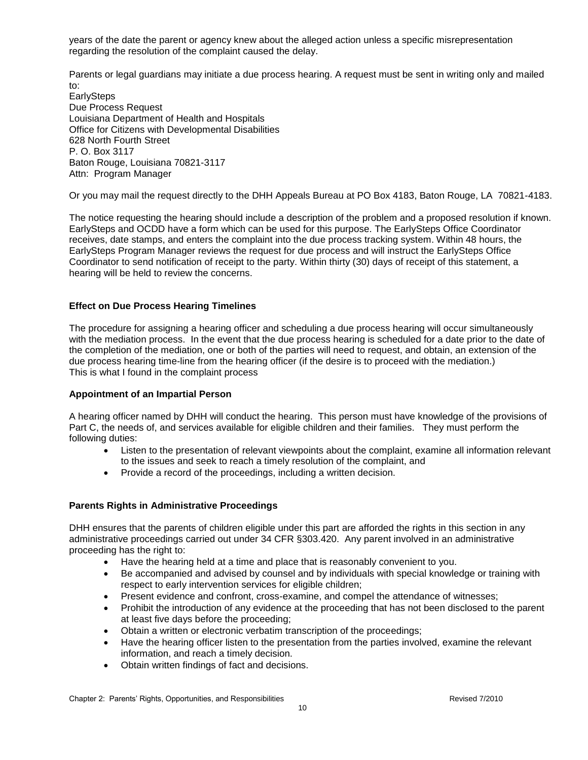years of the date the parent or agency knew about the alleged action unless a specific misrepresentation regarding the resolution of the complaint caused the delay.

Parents or legal guardians may initiate a due process hearing. A request must be sent in writing only and mailed to:

**EarlySteps** Due Process Request Louisiana Department of Health and Hospitals Office for Citizens with Developmental Disabilities 628 North Fourth Street P. O. Box 3117 Baton Rouge, Louisiana 70821-3117 Attn: Program Manager

Or you may mail the request directly to the DHH Appeals Bureau at PO Box 4183, Baton Rouge, LA 70821-4183.

The notice requesting the hearing should include a description of the problem and a proposed resolution if known. EarlySteps and OCDD have a form which can be used for this purpose. The EarlySteps Office Coordinator receives, date stamps, and enters the complaint into the due process tracking system. Within 48 hours, the EarlySteps Program Manager reviews the request for due process and will instruct the EarlySteps Office Coordinator to send notification of receipt to the party. Within thirty (30) days of receipt of this statement, a hearing will be held to review the concerns.

## **Effect on Due Process Hearing Timelines**

The procedure for assigning a hearing officer and scheduling a due process hearing will occur simultaneously with the mediation process. In the event that the due process hearing is scheduled for a date prior to the date of the completion of the mediation, one or both of the parties will need to request, and obtain, an extension of the due process hearing time-line from the hearing officer (if the desire is to proceed with the mediation.) This is what I found in the complaint process

## **Appointment of an Impartial Person**

A hearing officer named by DHH will conduct the hearing. This person must have knowledge of the provisions of Part C, the needs of, and services available for eligible children and their families. They must perform the following duties:

- Listen to the presentation of relevant viewpoints about the complaint, examine all information relevant to the issues and seek to reach a timely resolution of the complaint, and
- Provide a record of the proceedings, including a written decision.

# **Parents Rights in Administrative Proceedings**

DHH ensures that the parents of children eligible under this part are afforded the rights in this section in any administrative proceedings carried out under 34 CFR §303.420. Any parent involved in an administrative proceeding has the right to:

- Have the hearing held at a time and place that is reasonably convenient to you.
- Be accompanied and advised by counsel and by individuals with special knowledge or training with respect to early intervention services for eligible children;
- Present evidence and confront, cross-examine, and compel the attendance of witnesses;
- Prohibit the introduction of any evidence at the proceeding that has not been disclosed to the parent at least five days before the proceeding;
- Obtain a written or electronic verbatim transcription of the proceedings;
- Have the hearing officer listen to the presentation from the parties involved, examine the relevant information, and reach a timely decision.
- Obtain written findings of fact and decisions.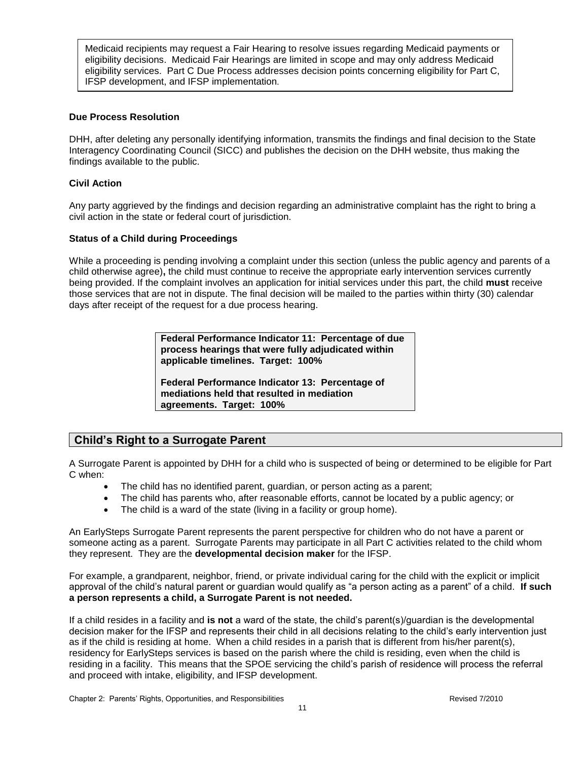Medicaid recipients may request a Fair Hearing to resolve issues regarding Medicaid payments or eligibility decisions. Medicaid Fair Hearings are limited in scope and may only address Medicaid eligibility services. Part C Due Process addresses decision points concerning eligibility for Part C, IFSP development, and IFSP implementation.

### **Due Process Resolution**

DHH, after deleting any personally identifying information, transmits the findings and final decision to the State Interagency Coordinating Council (SICC) and publishes the decision on the DHH website, thus making the findings available to the public.

### **Civil Action**

Any party aggrieved by the findings and decision regarding an administrative complaint has the right to bring a civil action in the state or federal court of jurisdiction.

### **Status of a Child during Proceedings**

While a proceeding is pending involving a complaint under this section (unless the public agency and parents of a child otherwise agree)**,** the child must continue to receive the appropriate early intervention services currently being provided. If the complaint involves an application for initial services under this part, the child **must** receive those services that are not in dispute. The final decision will be mailed to the parties within thirty (30) calendar days after receipt of the request for a due process hearing.

> **Federal Performance Indicator 11: Percentage of due process hearings that were fully adjudicated within applicable timelines. Target: 100%**

**Federal Performance Indicator 13: Percentage of mediations held that resulted in mediation agreements. Target: 100%**

# **Child's Right to a Surrogate Parent**

A Surrogate Parent is appointed by DHH for a child who is suspected of being or determined to be eligible for Part C when:

- The child has no identified parent, guardian, or person acting as a parent;
- The child has parents who, after reasonable efforts, cannot be located by a public agency; or
- The child is a ward of the state (living in a facility or group home).

An EarlySteps Surrogate Parent represents the parent perspective for children who do not have a parent or someone acting as a parent. Surrogate Parents may participate in all Part C activities related to the child whom they represent. They are the **developmental decision maker** for the IFSP.

For example, a grandparent, neighbor, friend, or private individual caring for the child with the explicit or implicit approval of the child's natural parent or guardian would qualify as "a person acting as a parent" of a child. **If such a person represents a child, a Surrogate Parent is not needed.**

If a child resides in a facility and **is not** a ward of the state, the child's parent(s)/guardian is the developmental decision maker for the IFSP and represents their child in all decisions relating to the child's early intervention just as if the child is residing at home. When a child resides in a parish that is different from his/her parent(s), residency for EarlySteps services is based on the parish where the child is residing, even when the child is residing in a facility. This means that the SPOE servicing the child's parish of residence will process the referral and proceed with intake, eligibility, and IFSP development.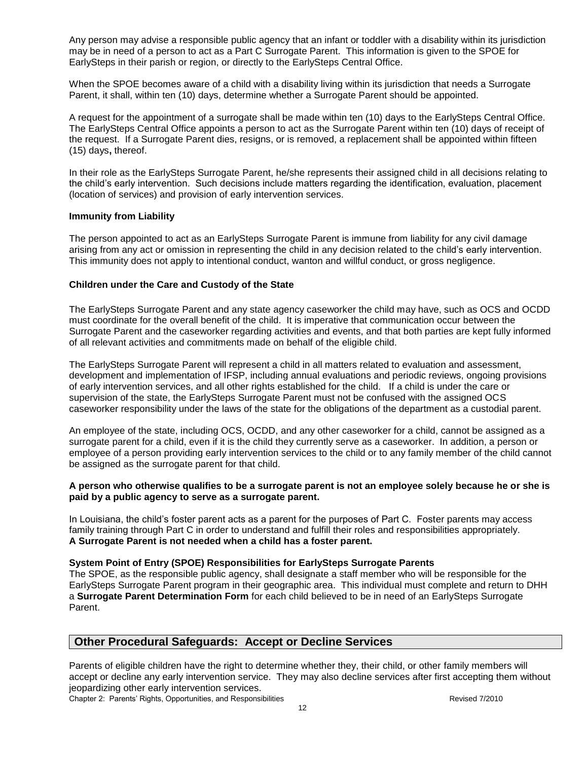Any person may advise a responsible public agency that an infant or toddler with a disability within its jurisdiction may be in need of a person to act as a Part C Surrogate Parent. This information is given to the SPOE for EarlySteps in their parish or region, or directly to the EarlySteps Central Office.

When the SPOE becomes aware of a child with a disability living within its jurisdiction that needs a Surrogate Parent, it shall, within ten (10) days, determine whether a Surrogate Parent should be appointed.

A request for the appointment of a surrogate shall be made within ten (10) days to the EarlySteps Central Office. The EarlySteps Central Office appoints a person to act as the Surrogate Parent within ten (10) days of receipt of the request. If a Surrogate Parent dies, resigns, or is removed, a replacement shall be appointed within fifteen (15) days**,** thereof.

In their role as the EarlySteps Surrogate Parent, he/she represents their assigned child in all decisions relating to the child's early intervention. Such decisions include matters regarding the identification, evaluation, placement (location of services) and provision of early intervention services.

### **Immunity from Liability**

The person appointed to act as an EarlySteps Surrogate Parent is immune from liability for any civil damage arising from any act or omission in representing the child in any decision related to the child's early intervention. This immunity does not apply to intentional conduct, wanton and willful conduct, or gross negligence.

### **Children under the Care and Custody of the State**

The EarlySteps Surrogate Parent and any state agency caseworker the child may have, such as OCS and OCDD must coordinate for the overall benefit of the child. It is imperative that communication occur between the Surrogate Parent and the caseworker regarding activities and events, and that both parties are kept fully informed of all relevant activities and commitments made on behalf of the eligible child.

The EarlySteps Surrogate Parent will represent a child in all matters related to evaluation and assessment, development and implementation of IFSP, including annual evaluations and periodic reviews, ongoing provisions of early intervention services, and all other rights established for the child. If a child is under the care or supervision of the state, the EarlySteps Surrogate Parent must not be confused with the assigned OCS caseworker responsibility under the laws of the state for the obligations of the department as a custodial parent.

An employee of the state, including OCS, OCDD, and any other caseworker for a child, cannot be assigned as a surrogate parent for a child, even if it is the child they currently serve as a caseworker. In addition, a person or employee of a person providing early intervention services to the child or to any family member of the child cannot be assigned as the surrogate parent for that child.

#### **A person who otherwise qualifies to be a surrogate parent is not an employee solely because he or she is paid by a public agency to serve as a surrogate parent.**

In Louisiana, the child's foster parent acts as a parent for the purposes of Part C. Foster parents may access family training through Part C in order to understand and fulfill their roles and responsibilities appropriately. **A Surrogate Parent is not needed when a child has a foster parent.**

#### **System Point of Entry (SPOE) Responsibilities for EarlySteps Surrogate Parents**

The SPOE, as the responsible public agency, shall designate a staff member who will be responsible for the EarlySteps Surrogate Parent program in their geographic area. This individual must complete and return to DHH a **Surrogate Parent Determination Form** for each child believed to be in need of an EarlySteps Surrogate Parent.

## **Other Procedural Safeguards: Accept or Decline Services**

Parents of eligible children have the right to determine whether they, their child, or other family members will accept or decline any early intervention service. They may also decline services after first accepting them without jeopardizing other early intervention services.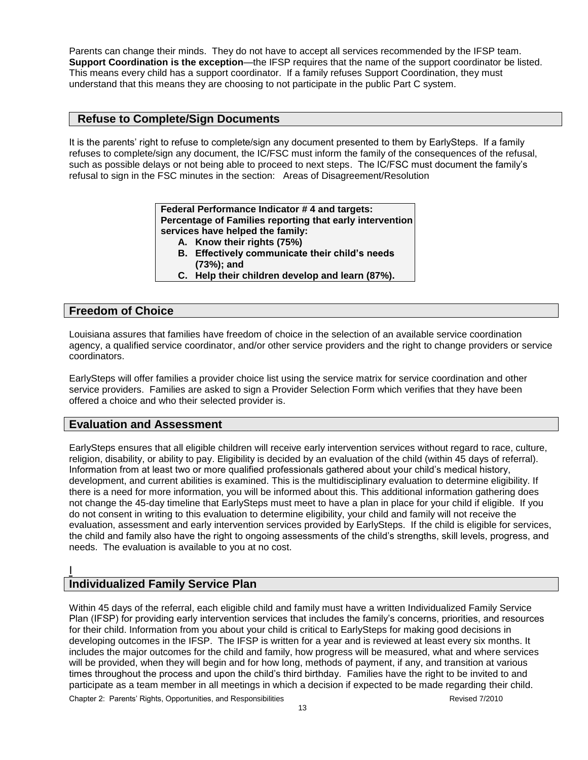Parents can change their minds. They do not have to accept all services recommended by the IFSP team. **Support Coordination is the exception**—the IFSP requires that the name of the support coordinator be listed. This means every child has a support coordinator. If a family refuses Support Coordination, they must understand that this means they are choosing to not participate in the public Part C system.

# **Refuse to Complete/Sign Documents**

It is the parents' right to refuse to complete/sign any document presented to them by EarlySteps. If a family refuses to complete/sign any document, the IC/FSC must inform the family of the consequences of the refusal, such as possible delays or not being able to proceed to next steps. The IC/FSC must document the family's refusal to sign in the FSC minutes in the section: Areas of Disagreement/Resolution

> **Federal Performance Indicator # 4 and targets: Percentage of Families reporting that early intervention services have helped the family:**

- **A. Know their rights (75%)**
- **B. Effectively communicate their child's needs**
- **(73%); and**
- **C. Help their children develop and learn (87%).**

# **Freedom of Choice**

Louisiana assures that families have freedom of choice in the selection of an available service coordination agency, a qualified service coordinator, and/or other service providers and the right to change providers or service coordinators.

EarlySteps will offer families a provider choice list using the service matrix for service coordination and other service providers. Families are asked to sign a Provider Selection Form which verifies that they have been offered a choice and who their selected provider is.

# **Evaluation and Assessment**

EarlySteps ensures that all eligible children will receive early intervention services without regard to race, culture, religion, disability, or ability to pay. Eligibility is decided by an evaluation of the child (within 45 days of referral). Information from at least two or more qualified professionals gathered about your child's medical history, development, and current abilities is examined. This is the multidisciplinary evaluation to determine eligibility. If there is a need for more information, you will be informed about this. This additional information gathering does not change the 45-day timeline that EarlySteps must meet to have a plan in place for your child if eligible. If you do not consent in writing to this evaluation to determine eligibility, your child and family will not receive the evaluation, assessment and early intervention services provided by EarlySteps. If the child is eligible for services, the child and family also have the right to ongoing assessments of the child's strengths, skill levels, progress, and needs. The evaluation is available to you at no cost.

# I **Individualized Family Service Plan**

Within 45 days of the referral, each eligible child and family must have a written Individualized Family Service Plan (IFSP) for providing early intervention services that includes the family's concerns, priorities, and resources for their child. Information from you about your child is critical to EarlySteps for making good decisions in developing outcomes in the IFSP. The IFSP is written for a year and is reviewed at least every six months. It includes the major outcomes for the child and family, how progress will be measured, what and where services will be provided, when they will begin and for how long, methods of payment, if any, and transition at various times throughout the process and upon the child's third birthday. Families have the right to be invited to and participate as a team member in all meetings in which a decision if expected to be made regarding their child.